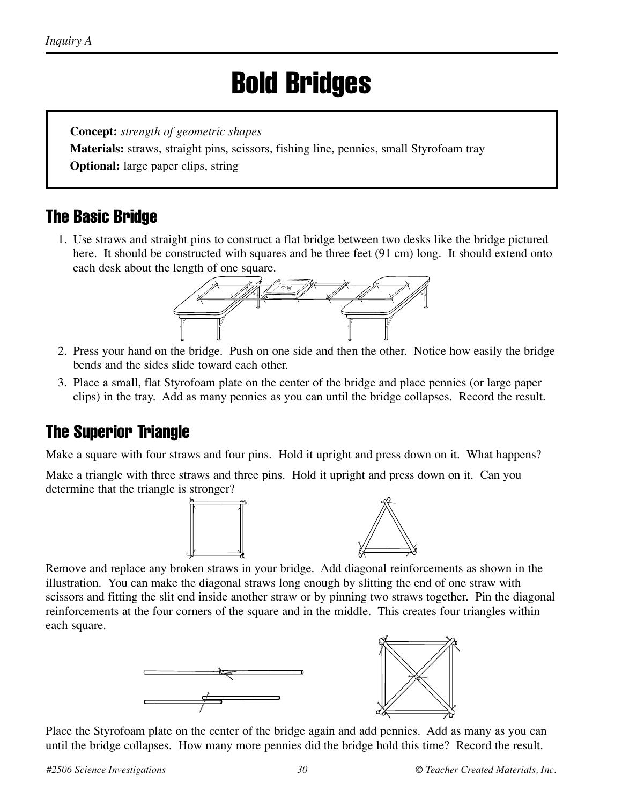# Bold Bridges

**Concept:** *strength of geometric shapes*

**Materials:** straws, straight pins, scissors, fishing line, pennies, small Styrofoam tray

**Optional:** large paper clips, string

#### The Basic Bridge

1. Use straws and straight pins to construct a flat bridge between two desks like the bridge pictured here. It should be constructed with squares and be three feet (91 cm) long. It should extend onto each desk about the length of one square.



- 2. Press your hand on the bridge. Push on one side and then the other. Notice how easily the bridge bends and the sides slide toward each other.
- 3. Place a small, flat Styrofoam plate on the center of the bridge and place pennies (or large paper clips) in the tray. Add as many pennies as you can until the bridge collapses. Record the result.

#### The Superior Triangle

Make a square with four straws and four pins. Hold it upright and press down on it. What happens?

Make a triangle with three straws and three pins. Hold it upright and press down on it. Can you determine that the triangle is stronger?



Remove and replace any broken straws in your bridge. Add diagonal reinforcements as shown in the illustration. You can make the diagonal straws long enough by slitting the end of one straw with scissors and fitting the slit end inside another straw or by pinning two straws together. Pin the diagonal reinforcements at the four corners of the square and in the middle. This creates four triangles within each square.





Place the Styrofoam plate on the center of the bridge again and add pennies. Add as many as you can until the bridge collapses. How many more pennies did the bridge hold this time? Record the result.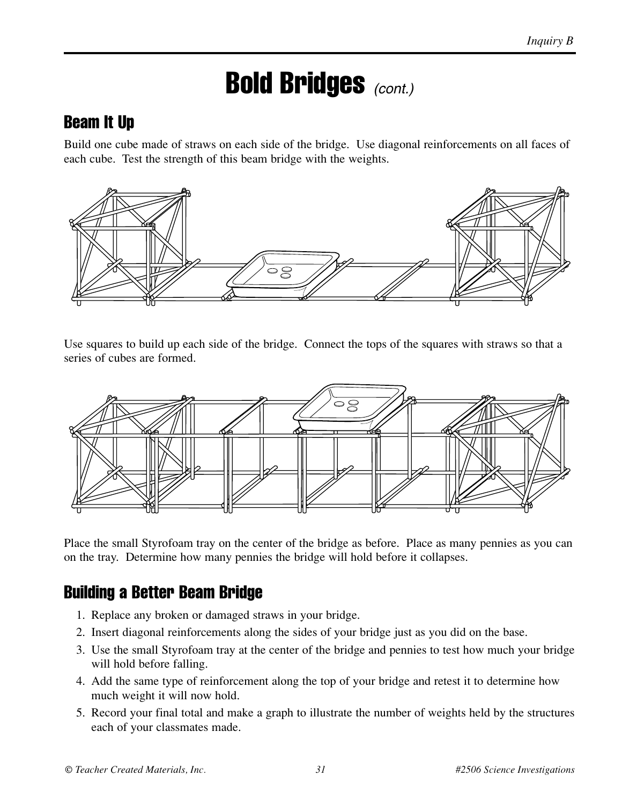## Bold Bridges *(cont.)*

#### Beam It Up

Build one cube made of straws on each side of the bridge. Use diagonal reinforcements on all faces of each cube. Test the strength of this beam bridge with the weights.



Use squares to build up each side of the bridge. Connect the tops of the squares with straws so that a series of cubes are formed.



Place the small Styrofoam tray on the center of the bridge as before. Place as many pennies as you can on the tray. Determine how many pennies the bridge will hold before it collapses.

#### Building a Better Beam Bridge

- 1. Replace any broken or damaged straws in your bridge.
- 2. Insert diagonal reinforcements along the sides of your bridge just as you did on the base.
- 3. Use the small Styrofoam tray at the center of the bridge and pennies to test how much your bridge will hold before falling.
- 4. Add the same type of reinforcement along the top of your bridge and retest it to determine how much weight it will now hold.
- 5. Record your final total and make a graph to illustrate the number of weights held by the structures each of your classmates made.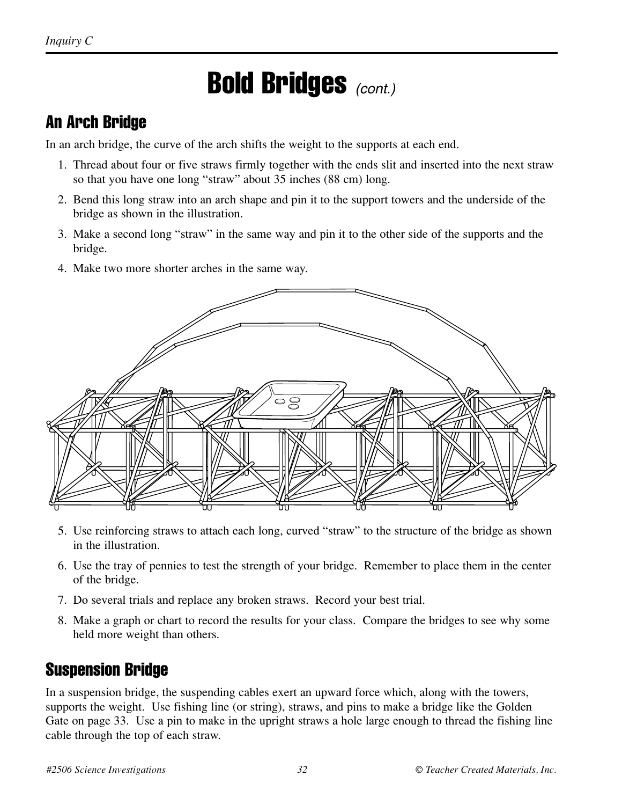## Bold Bridges *(cont.)*

#### An Arch Bridge

In an arch bridge, the curve of the arch shifts the weight to the supports at each end.

- 1. Thread about four or five straws firmly together with the ends slit and inserted into the next straw so that you have one long "straw" about 35 inches (88 cm) long.
- 2. Bend this long straw into an arch shape and pin it to the support towers and the underside of the bridge as shown in the illustration.
- 3. Make a second long "straw" in the same way and pin it to the other side of the supports and the bridge.
- 4. Make two more shorter arches in the same way.



- 5. Use reinforcing straws to attach each long, curved "straw" to the structure of the bridge as shown in the illustration.
- 6. Use the tray of pennies to test the strength of your bridge. Remember to place them in the center of the bridge.
- 7. Do several trials and replace any broken straws. Record your best trial.
- 8. Make a graph or chart to record the results for your class. Compare the bridges to see why some held more weight than others.

#### Suspension Bridge

In a suspension bridge, the suspending cables exert an upward force which, along with the towers, supports the weight. Use fishing line (or string), straws, and pins to make a bridge like the Golden Gate on page 33. Use a pin to make in the upright straws a hole large enough to thread the fishing line cable through the top of each straw.